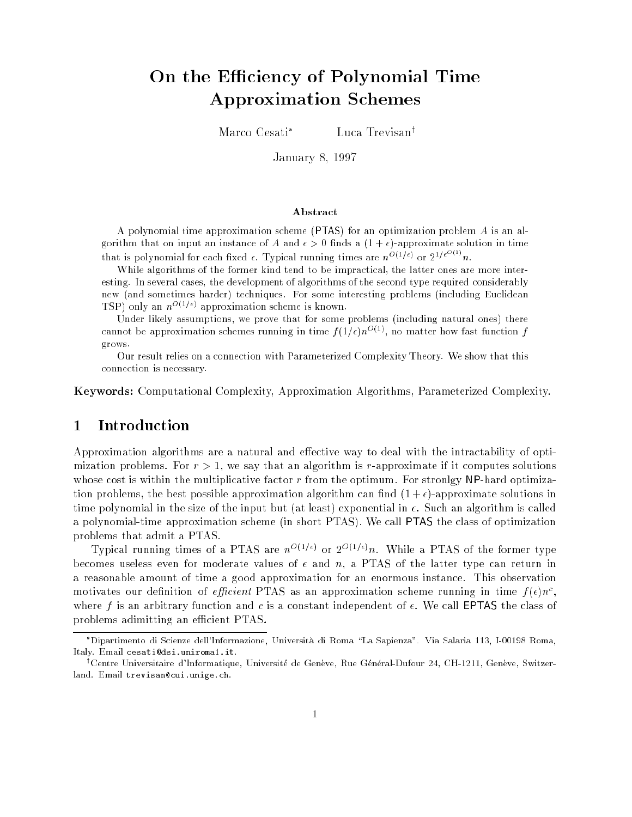# On the Efficiency of Polynomial Time Approximation Schemes

Marco Cesati

Luca Trevisan<sup>†</sup>

January 8, <sup>1997</sup>

#### Abstract

A polynomial time approximation scheme (PTAS) for an optimization problem A is an algorithm that on input an instance of A and  $\epsilon > 0$  finds a  $(1 + \epsilon)$ -approximate solution in time that is polynomial for each fixed  $\epsilon$ . Typical running times are  $n^{O(1/\epsilon)}$  or  $2^{1/\epsilon}$ .

While algorithms of the former kind tend to be impractical, the latter ones are more interesting. In several cases, the development of algorithms of the second type required considerably new (and sometimes harder) techniques. For some interesting problems (including Euclidean **TSP**) only an  $n^{-(1)}$  approximation scheme is known.

Under likely assumptions, we prove that for some problems (including natural ones) there cannot be approximation schemes running in time  $f(1/\epsilon)n^{O(1)}$ , no matter how fast function f grows.

Our result relies on a connection with Parameterized Complexity Theory. We show that this connection is necessary.

Keywords: Computational Complexity, Approximation Algorithms, Parameterized Complexity.

# 1 Introduction

Approximation algorithms are a natural and effective way to deal with the intractability of optimization problems. For  $r > 1$ , we say that an algorithm is r-approximate if it computes solutions whose cost is within the multiplicative factor r from the optimum. For stronlgy NP-hard optimization problems, the best possible approximation algorithm can find  $(1+\epsilon)$ -approximate solutions in time polynomial in the size of the input but (at least) exponential in  $\epsilon$ . Such an algorithm is called a polynomial-time approximation scheme (in short PTAS). We call PTAS the class of optimization problems that admit a PTAS.

Typical running times of a PTAS are  $n^{(1)}$  or  $2^{(1)}$  on. While a PTAS of the former type becomes useless even for moderate values of  $\epsilon$  and n, a PTAS of the latter type can return in a reasonable amount of time a good approximation for an enormous instance. This observation motivates our definition of *efficient* PTAS as an approximation scheme running in time  $f(\epsilon)n$ , where f is an arbitrary function and c is a constant independent of  $\epsilon$ . We call EPTAS the class of problems adimitting an efficient PTAS.

Dipartimento di Scienze dell'Informazione, Universita di Roma \La Sapienza". Via Salaria 113, I-00198 Roma, Italy. Email cesati@dsi.uniroma1.it.

<sup>&</sup>lt;sup>1</sup>Centre Universitaire d'Informatique, Université de Genève, Rue Général-Dufour 24, CH-1211, Genève, Switzerland. Email trevisan@cui.unige.ch.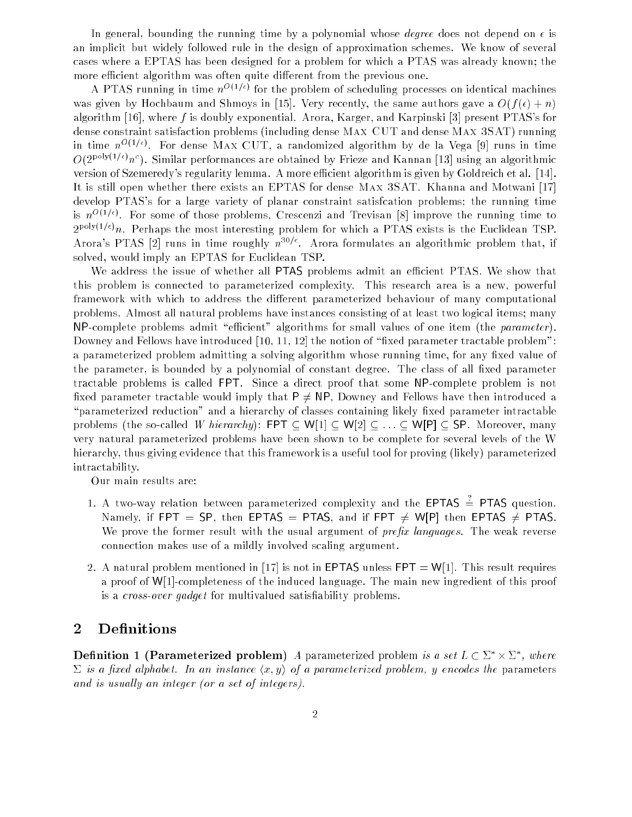In general, bounding the running time by a polynomial whose *degree* does not depend on  $\epsilon$  is an implicit but widely followed rule in the design of approximation schemes. We know of several cases where a EPTAS has been designed for a problem for which a PTAS was already known; the more efficient algorithm was often quite different from the previous one.

A PTAS running in time  $n^{1+\epsilon_1+\epsilon_2}$  for the problem of scheduling processes on identical machines was given by Hochbaum and Shmoys in [15]. Very recently, the same authors gave a  $O(f(\epsilon) + n)$ algorithm [16], where f is doubly exponential. Arora, Karger, and Karpinski [3] present PTAS's for dense constraint satisfaction problems (including dense Max CUT and dense Max 3SAT) running in time  $n^{-\vee - \vee}$ . For dense MAX CUT, a randomized algorithm by de la Vega [9] runs in time  $O(2^{p+q} \vee p + p)$ . Similar performances are obtained by Frieze and Kannan [13] using an algorithmic version of Szemeredy's regularity lemma. A more efficient algorithm is given by Goldreich et al. [14]. It is still open whether there exists an EPTAS for dense Max 3SAT. Khanna and Motwani [17] develop PTAS's for a large variety of planar constraint satisfcation problems; the running time is  $n \rightarrow \infty$ . For some of those problems, Crescenzi and Trevisan [8] improve the running time to  $2^{p\rightarrow p\rightarrow p}$ . Perhaps the most interesting problem for which a PTAS exists is the Euclidean TSP. Arora's PTAS [2] runs in time roughly  $n^{30/6}$ . Arora formulates an algorithmic problem that, if solved, would imply an EPTAS for Euclidean TSP.

We address the issue of whether all PTAS problems admit an efficient PTAS. We show that this problem is connected to parameterized complexity. This research area is a new, powerful framework with which to address the different parameterized behaviour of many computational problems. Almost all natural problems have instances consisting of at least two logical items; many NP-complete problems admit "efficient" algorithms for small values of one item (the *parameter*). Downey and Fellows have introduced  $[10, 11, 12]$  the notion of "fixed parameter tractable problem": a parameterized problem admitting a solving algorithm whose running time, for any fixed value of the parameter, is bounded by a polynomial of constant degree. The class of all fixed parameter tractable problems is called FPT. Since a direct proof that some NP-complete problem is not fixed parameter tractable would imply that  $P \neq NP$ , Downey and Fellows have then introduced a "parameterized reduction" and a hierarchy of classes containing likely fixed parameter intractable problems (the so-called *W hierarchy*): <code>FPT</code>  $\subseteq$  <code>W[1]</code>  $\subseteq$  <code>W[2]</code>  $\subseteq$   $\ldots$   $\subseteq$  <code>W[P]</code>  $\subseteq$  <code>SP. Moreover, many</code> very natural parameterized problems have been shown to be complete for several levels of the W hierarchy, thus giving evidence that this framework is a useful tool for proving (likely) parameterized intractability.

Our main results are:

- 1. A two-way relation between parameterized complexity and the  $EPTAS = PTAS$  question. Namely, if FPT = SP, then EPTAS = PTAS, and if FPT  $\neq$  W[P] then EPTAS  $\neq$  PTAS. We prove the former result with the usual argument of *prefix languages*. The weak reverse connection makes use of a mildly involved scaling argument.
- 2. A natural problem mentioned in [17] is not in **EPTAS** unless **FPT** =  $W[1]$ . This result requires a proof of W[1]-completeness of the induced language. The main new ingredient of this proof is a *cross-over gadget* for multivalued satisfiability problems.

# 2 Definitions

**Definition 1 (Parameterized problem)** A parameterized problem is a set  $L \subset \Sigma \times \Sigma$  , where  $\Sigma$  is a fixed alphabet. In an instance  $\langle x,y\rangle$  of a parameterized problem, y encodes the parameters and is usually an integer (or a set of integers).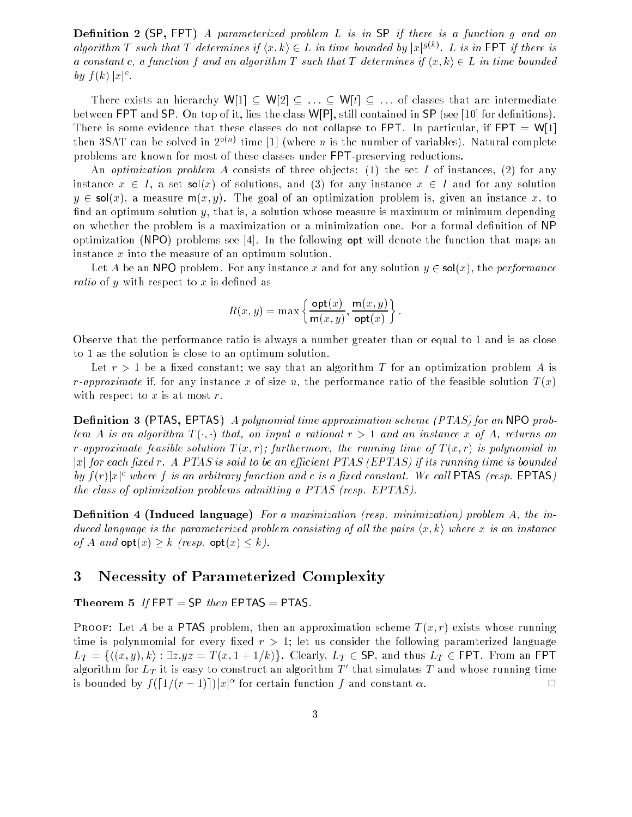**Definition 2** (SP, FPT) A parameterized problem L is in SP if there is a function g and an algorithm T such that T determines if  $\langle x, k \rangle \in L$  in time bounded by  $|x|^{g(k)}$ . L is in FPT if there is a constant c, a function f and an algorithm T such that T determines if  $\langle x, k \rangle \in L$  in time bounded  $\sigma$   $y \rightarrow$   $\kappa$   $\sigma$   $\sigma$   $\sigma$   $\sigma$   $\sigma$ 

There exists an hierarchy W[1]  $\subseteq W[2] \subseteq ... \subseteq W[t] \subseteq ...$  of classes that are intermediate between FPT and SP. On top of it, lies the class  $W[P]$ , still contained in SP (see [10] for definitions). There is some evidence that these classes do not collapse to FPT. In particular, if  $FPT = W[1]$ then  $3SAL$  can be solved in  $2^{+\infty}$  time [1] (where n is the number of variables). Natural complete problems are known for most of these classes under FPT-preserving reductions.

An *optimization problem A* consists of three objects: (1) the set I of instances, (2) for any instance  $x \in I$ , a set sol(x) of solutions, and (3) for any instance  $x \in I$  and for any solution  $y \in sol(x)$ , a measure  $m(x, y)$ . The goal of an optimization problem is, given an instance x, to find an optimum solution y, that is, a solution whose measure is maximum or minimum depending on whether the problem is a maximization or a minimization one. For a formal definition of NP optimization (NPO) problems see [4]. In the following op<sup>t</sup> will denote the function that maps an instance x into the measure of an optimum solution.

Let A be an NPO problem. For any instance x and for any solution  $y \in sol(x)$ , the *performance ratio* of y with respect to x is defined as

$$
R(x,y) = \max \left\{ \frac{\text{opt}(x)}{\text{m}(x,y)}, \frac{\text{m}(x,y)}{\text{opt}(x)} \right\}.
$$

Observe that the performance ratio is always a number greater than or equal to 1 and is as close to 1 as the solution is close to an optimum solution.

Let  $r > 1$  be a fixed constant; we say that an algorithm T for an optimization problem A is *r*-approximate if, for any instance x of size n, the performance ratio of the feasible solution  $T(x)$ with respect to  $x$  is at most  $r$ .

**Definition 3 (PTAS, EPTAS)** A polynomial time approximation scheme (PTAS) for an NPO problem A is an algorithm  $T(\cdot, \cdot)$  that, on input a rational  $r > 1$  and an instance x of A, returns an r-approximate feasible solution  $T(x, r)$ ; furthermore, the running time of  $T(x, r)$  is polynomial in  $|x|$  for each fixed r. A PTAS is said to be an efficient PTAS (EPTAS) if its running time is bounded by  $f(r)|x|^c$  where f is an arbitrary function and c is a fixed constant. We call PTAS (resp. EPTAS) the class of optimization problems admitting a PTAS (resp. EPTAS).

Definition 4 (Induced language) For a maximization (resp. minimization) problem A, the induced language is the parameterized problem consisting of all the pairs  $\langle x, k \rangle$  where x is an instance of A and  $\mathsf{opt}(x) \geq k$  (resp.  $\mathsf{opt}(x) \leq k$ ).

### 3 Necessity of Parameterized Complexity

Theorem 5 If  $FPT = SP$  then EPTAS = PTAS.

**PROOF:** Let A be a PTAS problem, then an approximation scheme  $T(x, r)$  exists whose running time is polynmomial for every fixed  $r > 1$ ; let us consider the following paramterized language  $L_T = \{\langle (x, y), k \rangle : \exists z.yz = T(x, 1 + 1/k)\}.$  Clearly,  $L_T \in \mathsf{SP}$ , and thus  $L_T \in \mathsf{FPT}$ . From an FPT algorithm for  $L_T$  it is easy to construct an algorithm  $L$  -that simulates  $T$  and whose running time  $\Box$ is bounded by  $f(|1/(r-1)|)|x|^{-\alpha}$  for certain function f and constant  $\alpha$ .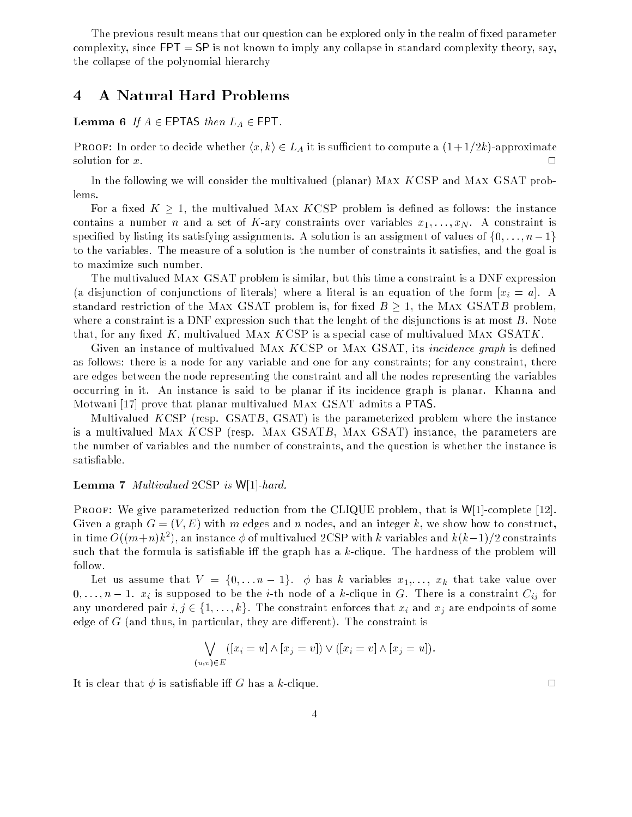The previous result means that our question can be explored only in the realm of fixed parameter complexity, since  $FPT = SP$  is not known to imply any collapse in standard complexity theory, say, the collapse of the polynomial hierarchy

## 4 A Natural Hard Problems

#### Lemma 6 If  $A \in$  EPTAS then  $L_A \in$  FPT.

PROOF: In order to decide whether  $\langle x, k \rangle \in L_A$  it is sufficient to compute a  $(1 + 1/2k)$ -approximate solution for  $x$ .

In the following we will consider the multivalued (planar) Max KCSP and Max GSAT problems.

For a fixed  $K \geq 1$ , the multivalued MAX KCSP problem is defined as follows: the instance contains a number n and a set of K-ary constraints over variables  $x_1, \ldots, x_N$ . A constraint is specified by listing its satisfying assignments. A solution is an assigment of values of  $\{0, \ldots, n-1\}$ to the variables. The measure of a solution is the number of constraints it satises, and the goal is to maximize such number.

The multivalued Max GSAT problem is similar, but this time a constraint is a DNF expression (a disjunction of conjunctions of literals) where a literal is an equation of the form  $[x_i = a]$ . A standard restriction of the MAX GSAT problem is, for fixed  $B \geq 1$ , the MAX GSATB problem, where a constraint is a DNF expression such that the lenght of the disjunctions is at most  $B$ . Note that, for any fixed K, multivalued MAX KCSP is a special case of multivalued MAX GSATK.

Given an instance of multivalued MAX KCSP or MAX GSAT, its *incidence graph* is defined as follows: there is a node for any variable and one for any constraints; for any constraint, there are edges between the node representing the constraint and all the nodes representing the variables occurring in it. An instance is said to be planar if its incidence graph is planar. Khanna and Motwani [17] prove that planar multivalued Max GSAT admits a PTAS.

Multivalued KCSP (resp. GSATB, GSAT) is the parameterized problem where the instance is a multivalued Max KCSP (resp. Max GSATB, Max GSAT) instance, the parameters are the number of variables and the number of constraints, and the question is whether the instance is satisable.

#### **Lemma 7** Multivalued 2CSP is  $W[1]$ -hard.

PROOF: We give parameterized reduction from the CLIQUE problem, that is  $W[1]$ -complete [12]. Given a graph  $G = (V, E)$  with m edges and n nodes, and an integer k, we show how to construct, in time  $O((m+n)\kappa^2)$ , an instance  $\varphi$  of multivalued 2CSP with  $\kappa$  variables and  $\kappa(\kappa-1)/2$  constraints such that the formula is satisfiable iff the graph has a  $k$ -clique. The hardness of the problem will follow.

Let us assume that  $V = \{0, \ldots n-1\}$ .  $\phi$  has k variables  $x_1, \ldots, x_k$  that take value over  $0,\ldots,n-1.$   $x_i$  is supposed to be the *i*-th node of a *k*-clique in  $G.$  There is a constraint  $C_{ij}$  for any unordered pair  $i, j \in \{1, \ldots, k\}$ . The constraint enforces that  $x_i$  and  $x_j$  are endpoints of some edge of  $G$  (and thus, in particular, they are different). The constraint is

$$
\bigvee_{(u,v)\in E} ([x_i = u] \wedge [x_j = v]) \vee ([x_i = v] \wedge [x_j = u]).
$$

It is clear that  $\phi$  is satisfiable iff G has a k-clique.

4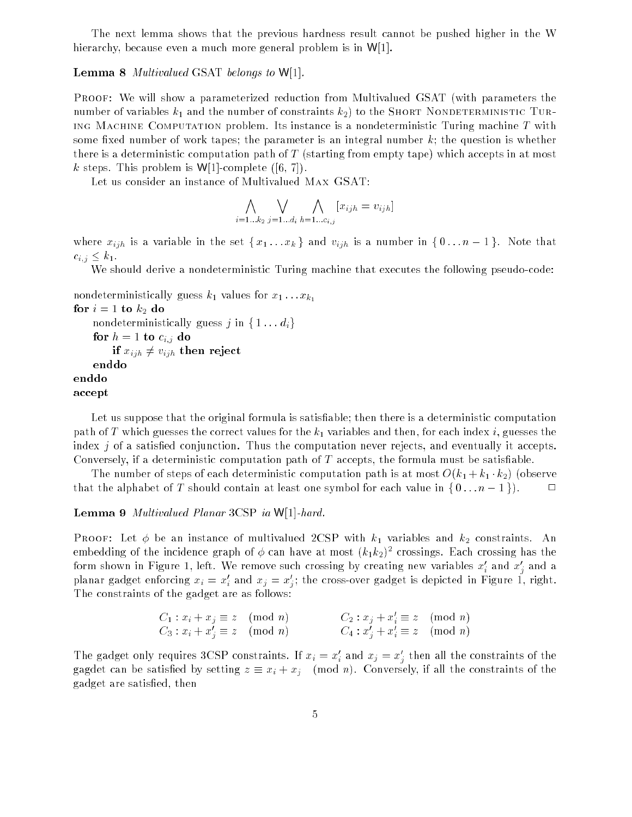The next lemma shows that the previous hardness result cannot be pushed higher in the W hierarchy, because even a much more general problem is in W[1].

#### **Lemma 8** Multivalued GSAT belongs to  $W[1]$ .

PROOF: We will show a parameterized reduction from Multivalued GSAT (with parameters the number of variables  $k_1$  and the number of constraints  $k_2$ ) to the Short Nondeterministic Turing Machine Computation problem. Its instance is a nondeterministic Turing machine  $T$  with some fixed number of work tapes; the parameter is an integral number  $k$ ; the question is whether there is a deterministic computation path of T (starting from empty tape) which accepts in at most k steps. This problem is  $W[1]$ -complete ([6, 7]).

Let us consider an instance of Multivalued Max GSAT:

$$
\bigwedge_{i=1...k_2} \bigvee_{j=1...d_i} \bigwedge_{h=1...c_{i,j}} [x_{ijh} = v_{ijh}]
$$

where  $x_{ijh}$  is a variable in the set  $\{x_1 \ldots x_k\}$  and  $v_{ijh}$  is a number in  $\{0 \ldots n-1\}$ . Note that  $c_{i,j} \leq k_1$ .

We should derive a nondeterministic Turing machine that executes the following pseudo-code:

```
nondeterministically guess k_1 values for x_1 \ldots x_{k_1}for i=1 to k_2 do
    nondeterministically guess j in \{1...d_i\}for h = 1 to c_{i,j} do
        if x_{ijh} \neq v_{ijh} then reject
    enddo
enddo
```
accept

Let us suppose that the original formula is satisfiable; then there is a deterministic computation path of T which guesses the correct values for the  $k_1$  variables and then, for each index i, guesses the index  $j$  of a satisfied conjunction. Thus the computation never rejects, and eventually it accepts. Conversely, if a deterministic computation path of  $T$  accepts, the formula must be satisfiable.

The number of steps of each deterministic computation path is at most  $O(k_1 + k_1 \cdot k_2)$  (observe that the alphabet of T should contain at least one symbol for each value in  $\{0 \dots n-1\}$ .

Lemma <sup>9</sup> Multivalued Planar 3CSP ia W[1]-hard.

PROOF: Let  $\phi$  be an instance of multivalued 2CSP with  $k_1$  variables and  $k_2$  constraints. An embedding of the incidence graph of  $\phi$  can have at most  $(\kappa_1 \kappa_2)^+$  crossings. Each crossing has the form shown in Figure 1, left. We remove such crossing by creating new variables  $x_i$  and  $x_j$  and a planar gadget enforcing  $x_i = x_j$  and  $x_j = x_j$ ; the cross-over gadget is depicted in Figure 1, right. The constraints of the gadget are as follows:

$$
C_1: x_i + x_j \equiv z \pmod{n} \qquad \qquad C_2: x_j + x'_i \equiv z \pmod{n} C_3: x_i + x'_j \equiv z \pmod{n} \qquad \qquad C_4: x'_j + x'_i \equiv z \pmod{n}
$$

The gadget only requires 3CSP constraints. If  $x_i = x_i$  and  $x_j = x_j$  then all the constraints of the gagdet can be satisfied by setting  $z \equiv x_i + x_j \pmod{n}$ . Conversely, if all the constraints of the gadget are satised, then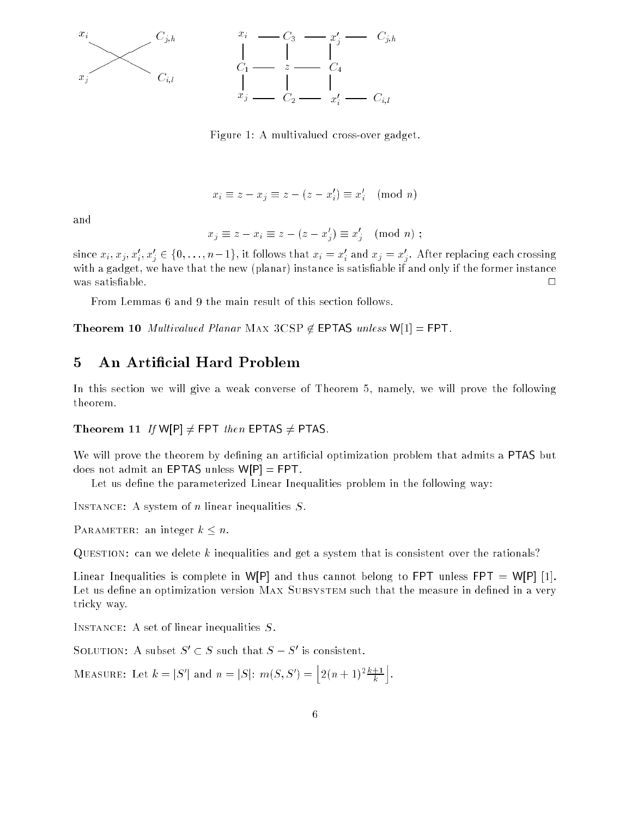

Figure 1: A multivalued cross-over gadget.

$$
x_i \equiv z - x_j \equiv z - (z - x'_i) \equiv x'_i \pmod{n}
$$

and

$$
x_j \equiv z - x_i \equiv z - (z - x'_j) \equiv x'_j \pmod{n} ;
$$

since  $x_i, x_j, x_i, x_j \in \{0, \ldots, n-1\}$ , it follows that  $x_i = x_i$  and  $x_j = x_j$ . After replacing each crossing j with a gadget, we have that the new (planar) instance is satisfiable if and only if the former instance was satisfiable.  $\Box$ 

From Lemmas 6 and 9 the main result of this section follows.

**Theorem 10** Multivalued Planar MAX 3CSP  $\notin$  **EPTAS** unless  $W[1] = FPT$ .

## 5 An Articial Hard Problem

In this section we will give a weak converse of Theorem 5, namely, we will prove the following theorem.

Theorem 11 If  $W[P] \neq FPT$  then EPTAS  $\neq$  PTAS.

We will prove the theorem by defining an artificial optimization problem that admits a PTAS but does not admit an EPTAS unless  $W[P] = FPT$ .

Let us define the parameterized Linear Inequalities problem in the following way:

INSTANCE: A system of *n* linear inequalities S.

PARAMETER: an integer  $k \leq n$ .

QUESTION: can we delete k inequalities and get a system that is consistent over the rationals?

Linear Inequalities is complete in W[P] and thus cannot belong to FPT unless FPT = W[P] [1]. Let us define an optimization version MAX SUBSYSTEM such that the measure in defined in a very tricky way.

Instance: A set of linear inequalities S.

SOLUTION: A subset  $S \subseteq S$  such that  $S = S$  is consistent.

MEASURE: Let  $k = |S'|$  and  $n = |S|$ :  $m(S, S') = \left| 2(n+1)^2 \frac{k+1}{k} \right|$ 

ka ku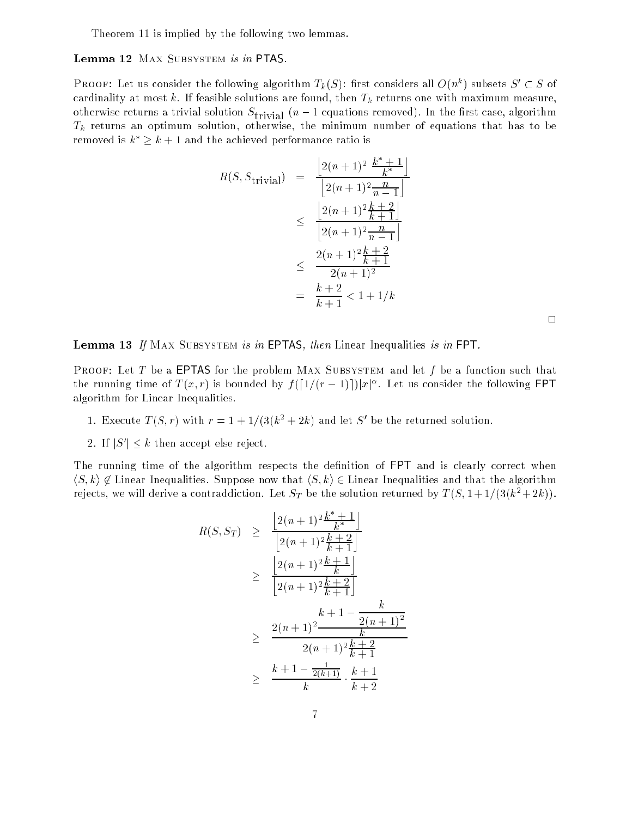Theorem 11 is implied by the following two lemmas.

Lemma 12 MAX SUBSYSTEM is in PTAS.

**PROOF:** Let us consider the following algorithm  $T_k(\beta)$ : first considers all  $O(n^{\alpha})$  subsets  $\beta \subset \beta$  of cardinality at most k. If feasible solutions are found, then  $T_k$  returns one with maximum measure, otherwise returns a trivial solution  $\mathcal{L}$  and  $\mathcal{L}$  equations removed in the rst case, algorithm  $\mathcal{L}$  $T_k$  returns an optimum solution, otherwise, the minimum number of equations that has to be removed is  $k^* \geq k+1$  and the achieved performance ratio is

$$
R(S, S_{\text{trivial}}) = \frac{\left[2(n+1)^2 \frac{k^* + 1}{k^*}\right]}{\left[2(n+1)^2 \frac{n}{n-1}\right]}
$$
  

$$
\leq \frac{\left[2(n+1)^2 \frac{k+2}{k+1}\right]}{\left[2(n+1)^2 \frac{n}{n-1}\right]}
$$
  

$$
\leq \frac{2(n+1)^2 \frac{k+2}{k+1}}{2(n+1)^2}
$$
  

$$
= \frac{k+2}{k+1} < 1 + 1/k
$$

 $\Box$ 

**Lemma 13** If MAX SUBSYSTEM is in EPTAS, then Linear Inequalities is in FPT.

**PROOF:** Let T be a EPTAS for the problem MAX SUBSYSTEM and let f be a function such that the running time of  $T(x,r)$  is bounded by  $f([1/(r - 1)])|x|^\alpha$ . Let us consider the following FPT algorithm for Linear Inequalities.

- 1. Execute  $I(\mathcal{S},r)$  with  $r = 1 + 1/(3(k^2 + 2k))$  and let  $\mathcal{S}$  be the returned solution.
- z. II p | ト ʁ then accept else reject.

The running time of the algorithm respects the definition of FPT and is clearly correct when  $\langle S, k \rangle \notin \mathbb{Z}$  Linear Inequalities. Suppose now that  $\langle S, k \rangle \in \mathbb{Z}$  Linear Inequalities and that the algorithm rejects, we will derive a contraddiction. Let  $S_T$  be the solution returned by  $T(S, 1+1/(3(k^2+2k)).$ 

$$
R(S, S_T) \geq \frac{\left[2(n+1)^2 \frac{k^* + 1}{k^*}\right]}{\left[2(n+1)^2 \frac{k+2}{k+1}\right]}
$$
  
\n
$$
\geq \frac{\left[2(n+1)^2 \frac{k+1}{k}\right]}{\left[2(n+1)^2 \frac{k+2}{k+1}\right]}
$$
  
\n
$$
\geq \frac{2(n+1)^2}{k} \frac{k+1 - \frac{k}{2(n+1)^2}}{k}
$$
  
\n
$$
\geq \frac{k+1 - \frac{1}{2(k+1)} \cdot \frac{k+1}{k+2}}
$$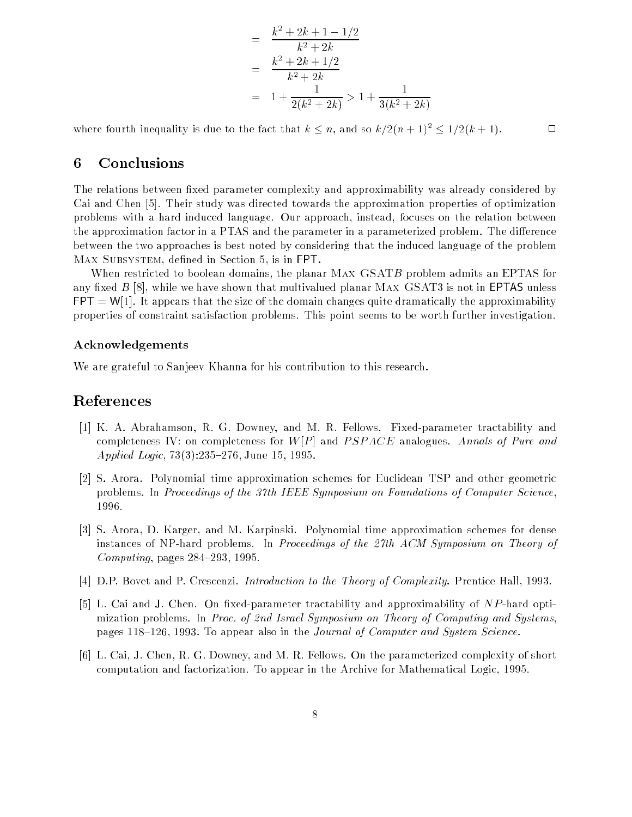$$
= \frac{k^2 + 2k + 1 - 1/2}{k^2 + 2k}
$$

$$
= \frac{k^2 + 2k + 1/2}{k^2 + 2k}
$$

$$
= 1 + \frac{1}{2(k^2 + 2k)} > 1 + \frac{1}{3(k^2 + 2k)}
$$

where fourth inequality is due to the fact that  $k \leq n$ , and so  $k/2(n + 1)^2 \leq 1/2(k + 1)$ .

# 6 Conclusions

The relations between fixed parameter complexity and approximability was already considered by Cai and Chen [5]. Their study was directed towards the approximation properties of optimization problems with a hard induced language. Our approach, instead, focuses on the relation between the approximation factor in a PTAS and the parameter in a parameterized problem. The difference between the two approaches is best noted by considering that the induced language of the problem MAX SUBSYSTEM, defined in Section 5, is in FPT.

When restricted to boolean domains, the planar MAX GSATB problem admits an EPTAS for any fixed  $B$  [8], while we have shown that multivalued planar MAx  $\rm GSAT3$  is not in <code>EPTAS</code> unless  $FPT = W[1]$ . It appears that the size of the domain changes quite dramatically the approximability properties of constraint satisfaction problems. This point seems to be worth further investigation.

#### Acknowledgements

We are grateful to Sanjeev Khanna for his contribution to this research.

### References

- [1] K. A. Abrahamson, R. G. Downey, and M. R. Fellows. Fixed-parameter tractability and completeness IV: on completeness for  $W[P]$  and  $PSPACE$  analogues. Annals of Pure and Applied Logic, 73(3):235-276, June 15, 1995.
- [2] S. Arora. Polynomial time approximation schemes for Euclidean TSP and other geometric problems. In Proceedings of the 37th IEEE Symposium on Foundations of Computer Science, 1996.
- [3] S. Arora, D. Karger, and M. Karpinski. Polynomial time approximation schemes for dense instances of NP-hard problems. In Proceedings of the 27th ACM Symposium on Theory of Computing, pages  $284-293$ , 1995.
- [4] D.P. Bovet and P. Crescenzi. Introduction to the Theory of Complexity. Prentice Hall, 1993.
- [5] L. Cai and J. Chen. On fixed-parameter tractability and approximability of  $NP$ -hard optimization problems. In Proc. of 2nd Israel Symposium on Theory of Computing and Systems, pages 118-126, 1993. To appear also in the *Journal of Computer and System Science*.
- [6] L. Cai, J. Chen, R. G. Downey, and M. R. Fellows. On the parameterized complexity of short computation and factorization. To appear in the Archive for Mathematical Logic, 1995.